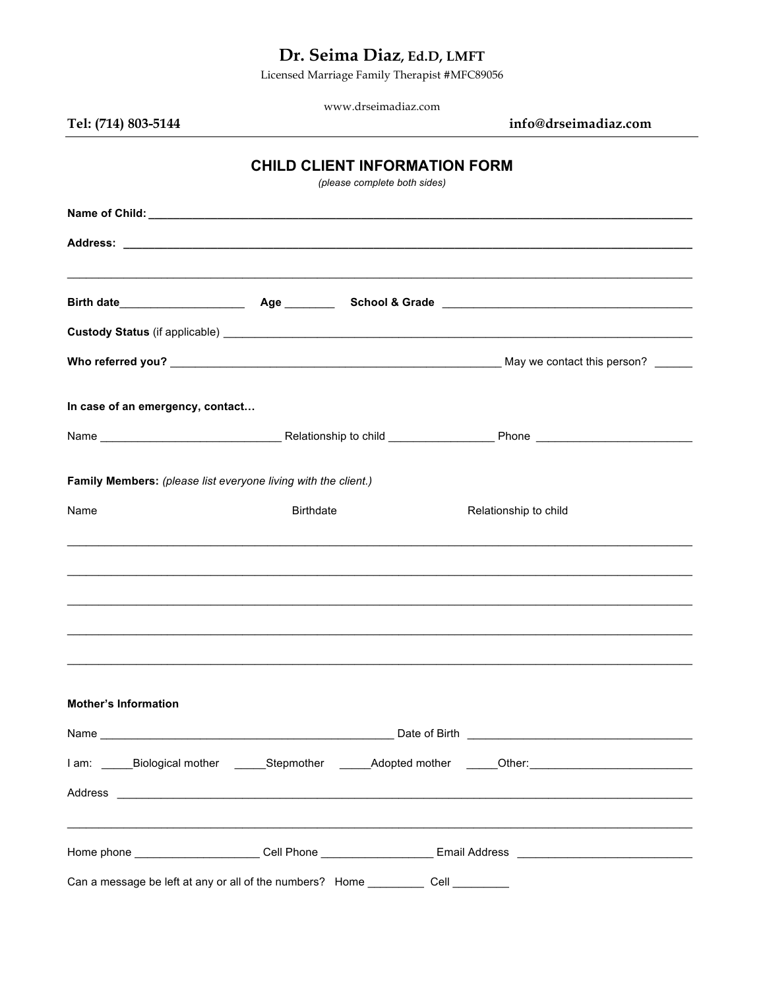# Dr. Seima Diaz, Ed.D, LMFT

Licensed Marriage Family Therapist #MFC89056

www.drseimadiaz.com

## Tel: (714) 803-5144

info@drseimadiaz.com

### **CHILD CLIENT INFORMATION FORM**

(please complete both sides)

| In case of an emergency, contact                               |                                                                                        |                                                                                                                |  |  |  |  |
|----------------------------------------------------------------|----------------------------------------------------------------------------------------|----------------------------------------------------------------------------------------------------------------|--|--|--|--|
|                                                                |                                                                                        |                                                                                                                |  |  |  |  |
| Family Members: (please list everyone living with the client.) |                                                                                        |                                                                                                                |  |  |  |  |
| Name                                                           | <b>Birthdate</b>                                                                       | Relationship to child                                                                                          |  |  |  |  |
|                                                                |                                                                                        | ,我们也不能在这里的人,我们也不能在这里的人,我们也不能在这里的人,我们也不能不能不能不能不能不能不能不能不能。""我们,我们也不能不能不能不能不能不能不能不能                               |  |  |  |  |
|                                                                |                                                                                        |                                                                                                                |  |  |  |  |
|                                                                |                                                                                        |                                                                                                                |  |  |  |  |
|                                                                |                                                                                        |                                                                                                                |  |  |  |  |
| <b>Mother's Information</b>                                    |                                                                                        |                                                                                                                |  |  |  |  |
|                                                                |                                                                                        |                                                                                                                |  |  |  |  |
|                                                                | I am: ______Biological mother ________Stepmother ________Adopted mother _______Other:_ |                                                                                                                |  |  |  |  |
|                                                                |                                                                                        | Address experiences and a series of the series of the series of the series of the series of the series of the  |  |  |  |  |
|                                                                |                                                                                        | Home phone _________________________Cell Phone ________________________Email Address _________________________ |  |  |  |  |
|                                                                |                                                                                        | Can a message be left at any or all of the numbers? Home _____________ Cell __________                         |  |  |  |  |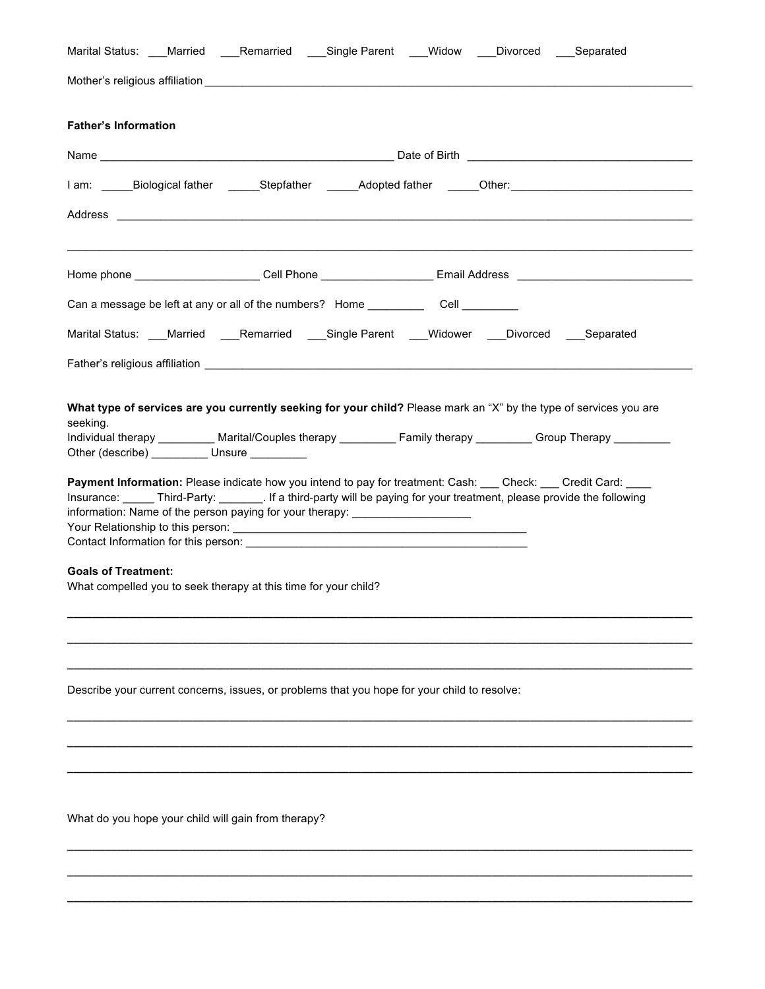|                             |                                                                 | Marital Status: ___Married ____Remarried ____Single Parent ___Widow ____Divorced ____Separated                                                                                                                                                                                                                        |  |                                                                                                                |
|-----------------------------|-----------------------------------------------------------------|-----------------------------------------------------------------------------------------------------------------------------------------------------------------------------------------------------------------------------------------------------------------------------------------------------------------------|--|----------------------------------------------------------------------------------------------------------------|
|                             |                                                                 |                                                                                                                                                                                                                                                                                                                       |  |                                                                                                                |
| <b>Father's Information</b> |                                                                 |                                                                                                                                                                                                                                                                                                                       |  |                                                                                                                |
|                             |                                                                 |                                                                                                                                                                                                                                                                                                                       |  |                                                                                                                |
|                             |                                                                 |                                                                                                                                                                                                                                                                                                                       |  | l am: _____Biological father  ______Stepfather  ______Adopted father  _____Other:_____________________________ |
|                             |                                                                 | Address <b>contract to the contract of the contract of the contract of the contract of the contract of the contract of the contract of the contract of the contract of the contract of the contract of the contract of the contr</b>                                                                                  |  |                                                                                                                |
|                             |                                                                 |                                                                                                                                                                                                                                                                                                                       |  |                                                                                                                |
|                             |                                                                 |                                                                                                                                                                                                                                                                                                                       |  | Home phone ________________________Cell Phone _________________________Email Address _________________________ |
|                             |                                                                 | Can a message be left at any or all of the numbers? Home ______________Cell ___________                                                                                                                                                                                                                               |  |                                                                                                                |
|                             |                                                                 | Marital Status: ___Married ____Remarried ____Single Parent ____Widower ____Divorced ____Separated                                                                                                                                                                                                                     |  |                                                                                                                |
|                             |                                                                 |                                                                                                                                                                                                                                                                                                                       |  |                                                                                                                |
| <b>Goals of Treatment:</b>  | What compelled you to seek therapy at this time for your child? | Payment Information: Please indicate how you intend to pay for treatment: Cash: Check: Credit Card:<br>Insurance: ______ Third-Party: _________. If a third-party will be paying for your treatment, please provide the following<br>information: Name of the person paying for your therapy: _______________________ |  |                                                                                                                |
|                             |                                                                 | Describe your current concerns, issues, or problems that you hope for your child to resolve:                                                                                                                                                                                                                          |  |                                                                                                                |
|                             |                                                                 |                                                                                                                                                                                                                                                                                                                       |  |                                                                                                                |
|                             |                                                                 |                                                                                                                                                                                                                                                                                                                       |  |                                                                                                                |
|                             |                                                                 |                                                                                                                                                                                                                                                                                                                       |  |                                                                                                                |
|                             | What do you hope your child will gain from therapy?             |                                                                                                                                                                                                                                                                                                                       |  |                                                                                                                |

**\_\_\_\_\_\_\_\_\_\_\_\_\_\_\_\_\_\_\_\_\_\_\_\_\_\_\_\_\_\_\_\_\_\_\_\_\_\_\_\_\_\_\_\_\_\_\_\_\_\_\_\_\_\_\_\_\_\_\_\_\_\_\_\_\_\_\_\_\_\_\_\_\_\_\_\_\_\_\_\_\_\_\_\_\_\_\_\_\_\_\_\_\_\_\_\_\_\_\_\_**

**\_\_\_\_\_\_\_\_\_\_\_\_\_\_\_\_\_\_\_\_\_\_\_\_\_\_\_\_\_\_\_\_\_\_\_\_\_\_\_\_\_\_\_\_\_\_\_\_\_\_\_\_\_\_\_\_\_\_\_\_\_\_\_\_\_\_\_\_\_\_\_\_\_\_\_\_\_\_\_\_\_\_\_\_\_\_\_\_\_\_\_\_\_\_\_\_\_\_\_\_**

**\_\_\_\_\_\_\_\_\_\_\_\_\_\_\_\_\_\_\_\_\_\_\_\_\_\_\_\_\_\_\_\_\_\_\_\_\_\_\_\_\_\_\_\_\_\_\_\_\_\_\_\_\_\_\_\_\_\_\_\_\_\_\_\_\_\_\_\_\_\_\_\_\_\_\_\_\_\_\_\_\_\_\_\_\_\_\_\_\_\_\_\_\_\_\_\_\_\_\_\_**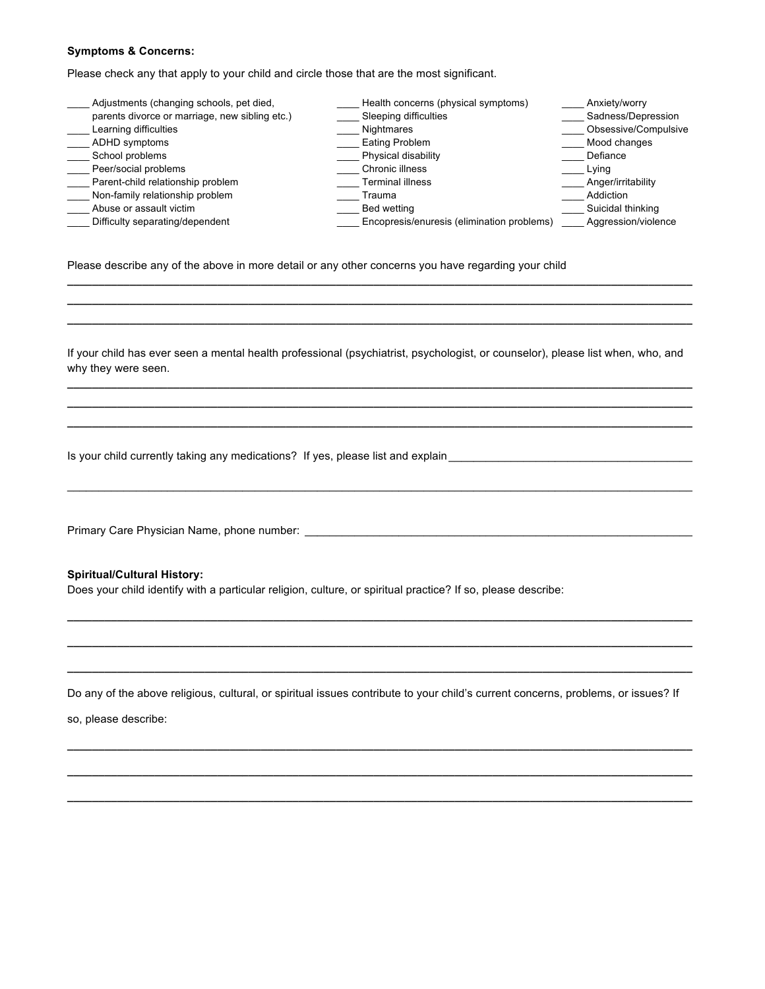#### **Symptoms & Concerns:**

Please check any that apply to your child and circle those that are the most significant.

| Adjustments (changing schools, pet died,       | Health concerns (physical symptoms)        | Anxiety/worry        |
|------------------------------------------------|--------------------------------------------|----------------------|
| parents divorce or marriage, new sibling etc.) | Sleeping difficulties                      | Sadness/Depression   |
| Learning difficulties                          | Nightmares                                 | Obsessive/Compulsive |
| ADHD symptoms                                  | Eating Problem                             | Mood changes         |
| School problems                                | Physical disability                        | Defiance             |
| Peer/social problems                           | Chronic illness                            | Lying                |
| Parent-child relationship problem              | <b>Terminal illness</b>                    | Anger/irritability   |
| Non-family relationship problem                | Trauma                                     | Addiction            |
| Abuse or assault victim                        | Bed wetting                                | Suicidal thinking    |
| Difficulty separating/dependent                | Encopresis/enuresis (elimination problems) | Aggression/violence  |

Please describe any of the above in more detail or any other concerns you have regarding your child

If your child has ever seen a mental health professional (psychiatrist, psychologist, or counselor), please list when, who, and why they were seen. **\_\_\_\_\_\_\_\_\_\_\_\_\_\_\_\_\_\_\_\_\_\_\_\_\_\_\_\_\_\_\_\_\_\_\_\_\_\_\_\_\_\_\_\_\_\_\_\_\_\_\_\_\_\_\_\_\_\_\_\_\_\_\_\_\_\_\_\_\_\_\_\_\_\_\_\_\_\_\_\_\_\_\_\_\_\_\_\_\_\_\_\_\_\_\_\_\_\_\_\_**

**\_\_\_\_\_\_\_\_\_\_\_\_\_\_\_\_\_\_\_\_\_\_\_\_\_\_\_\_\_\_\_\_\_\_\_\_\_\_\_\_\_\_\_\_\_\_\_\_\_\_\_\_\_\_\_\_\_\_\_\_\_\_\_\_\_\_\_\_\_\_\_\_\_\_\_\_\_\_\_\_\_\_\_\_\_\_\_\_\_\_\_\_\_\_\_\_\_\_\_\_ \_\_\_\_\_\_\_\_\_\_\_\_\_\_\_\_\_\_\_\_\_\_\_\_\_\_\_\_\_\_\_\_\_\_\_\_\_\_\_\_\_\_\_\_\_\_\_\_\_\_\_\_\_\_\_\_\_\_\_\_\_\_\_\_\_\_\_\_\_\_\_\_\_\_\_\_\_\_\_\_\_\_\_\_\_\_\_\_\_\_\_\_\_\_\_\_\_\_\_\_**

 $\_$  , and the state of the state of the state of the state of the state of the state of the state of the state of the state of the state of the state of the state of the state of the state of the state of the state of the

**\_\_\_\_\_\_\_\_\_\_\_\_\_\_\_\_\_\_\_\_\_\_\_\_\_\_\_\_\_\_\_\_\_\_\_\_\_\_\_\_\_\_\_\_\_\_\_\_\_\_\_\_\_\_\_\_\_\_\_\_\_\_\_\_\_\_\_\_\_\_\_\_\_\_\_\_\_\_\_\_\_\_\_\_\_\_\_\_\_\_\_\_\_\_\_\_\_\_\_\_ \_\_\_\_\_\_\_\_\_\_\_\_\_\_\_\_\_\_\_\_\_\_\_\_\_\_\_\_\_\_\_\_\_\_\_\_\_\_\_\_\_\_\_\_\_\_\_\_\_\_\_\_\_\_\_\_\_\_\_\_\_\_\_\_\_\_\_\_\_\_\_\_\_\_\_\_\_\_\_\_\_\_\_\_\_\_\_\_\_\_\_\_\_\_\_\_\_\_\_\_ \_\_\_\_\_\_\_\_\_\_\_\_\_\_\_\_\_\_\_\_\_\_\_\_\_\_\_\_\_\_\_\_\_\_\_\_\_\_\_\_\_\_\_\_\_\_\_\_\_\_\_\_\_\_\_\_\_\_\_\_\_\_\_\_\_\_\_\_\_\_\_\_\_\_\_\_\_\_\_\_\_\_\_\_\_\_\_\_\_\_\_\_\_\_\_\_\_\_\_\_**

Is your child currently taking any medications? If yes, please list and explain\_\_\_\_\_\_\_\_\_\_\_\_\_\_\_\_\_\_\_\_\_\_\_\_\_\_\_\_\_\_\_

Primary Care Physician Name, phone number: \_\_\_\_\_\_\_\_\_\_\_\_\_\_\_\_\_\_\_\_\_\_\_\_\_\_\_\_\_\_\_\_\_\_\_\_\_\_\_\_\_\_\_\_\_\_\_\_\_\_\_\_\_\_\_\_\_\_\_\_\_\_

**Spiritual/Cultural History:**

Does your child identify with a particular religion, culture, or spiritual practice? If so, please describe:

Do any of the above religious, cultural, or spiritual issues contribute to your child's current concerns, problems, or issues? If

**\_\_\_\_\_\_\_\_\_\_\_\_\_\_\_\_\_\_\_\_\_\_\_\_\_\_\_\_\_\_\_\_\_\_\_\_\_\_\_\_\_\_\_\_\_\_\_\_\_\_\_\_\_\_\_\_\_\_\_\_\_\_\_\_\_\_\_\_\_\_\_\_\_\_\_\_\_\_\_\_\_\_\_\_\_\_\_\_\_\_\_\_\_\_\_\_\_\_\_\_**

**\_\_\_\_\_\_\_\_\_\_\_\_\_\_\_\_\_\_\_\_\_\_\_\_\_\_\_\_\_\_\_\_\_\_\_\_\_\_\_\_\_\_\_\_\_\_\_\_\_\_\_\_\_\_\_\_\_\_\_\_\_\_\_\_\_\_\_\_\_\_\_\_\_\_\_\_\_\_\_\_\_\_\_\_\_\_\_\_\_\_\_\_\_\_\_\_\_\_\_\_**

**\_\_\_\_\_\_\_\_\_\_\_\_\_\_\_\_\_\_\_\_\_\_\_\_\_\_\_\_\_\_\_\_\_\_\_\_\_\_\_\_\_\_\_\_\_\_\_\_\_\_\_\_\_\_\_\_\_\_\_\_\_\_\_\_\_\_\_\_\_\_\_\_\_\_\_\_\_\_\_\_\_\_\_\_\_\_\_\_\_\_\_\_\_\_\_\_\_\_\_\_**

**\_\_\_\_\_\_\_\_\_\_\_\_\_\_\_\_\_\_\_\_\_\_\_\_\_\_\_\_\_\_\_\_\_\_\_\_\_\_\_\_\_\_\_\_\_\_\_\_\_\_\_\_\_\_\_\_\_\_\_\_\_\_\_\_\_\_\_\_\_\_\_\_\_\_\_\_\_\_\_\_\_\_\_\_\_\_\_\_\_\_\_\_\_\_\_\_\_\_\_\_**

**\_\_\_\_\_\_\_\_\_\_\_\_\_\_\_\_\_\_\_\_\_\_\_\_\_\_\_\_\_\_\_\_\_\_\_\_\_\_\_\_\_\_\_\_\_\_\_\_\_\_\_\_\_\_\_\_\_\_\_\_\_\_\_\_\_\_\_\_\_\_\_\_\_\_\_\_\_\_\_\_\_\_\_\_\_\_\_\_\_\_\_\_\_\_\_\_\_\_\_\_**

**\_\_\_\_\_\_\_\_\_\_\_\_\_\_\_\_\_\_\_\_\_\_\_\_\_\_\_\_\_\_\_\_\_\_\_\_\_\_\_\_\_\_\_\_\_\_\_\_\_\_\_\_\_\_\_\_\_\_\_\_\_\_\_\_\_\_\_\_\_\_\_\_\_\_\_\_\_\_\_\_\_\_\_\_\_\_\_\_\_\_\_\_\_\_\_\_\_\_\_\_**

so, please describe: